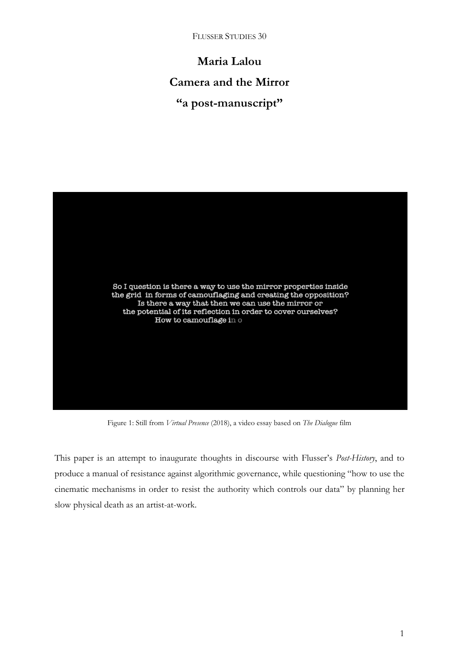**Maria Lalou Camera and the Mirror "a post-manuscript"**



Figure 1: Still from *Virtual Presence* (2018), a video essay based on *The Dialogue* film

This paper is an attempt to inaugurate thoughts in discourse with Flusser's *Post-History*, and to produce a manual of resistance against algorithmic governance, while questioning "how to use the cinematic mechanisms in order to resist the authority which controls our data" by planning her slow physical death as an artist-at-work.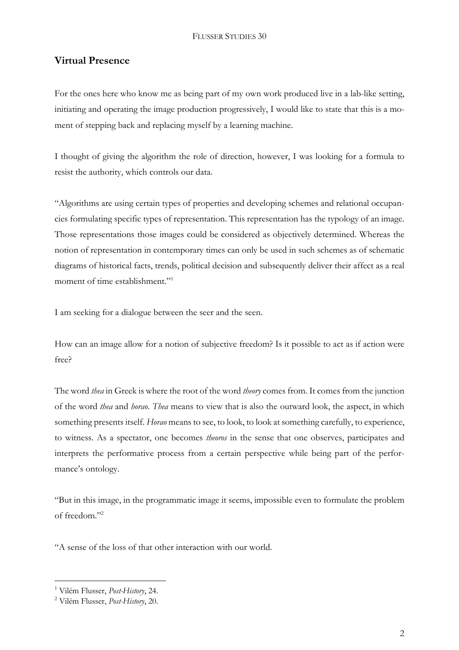# **Virtual Presence**

For the ones here who know me as being part of my own work produced live in a lab-like setting, initiating and operating the image production progressively, I would like to state that this is a moment of stepping back and replacing myself by a learning machine.

I thought of giving the algorithm the role of direction, however, I was looking for a formula to resist the authority, which controls our data.

"Algorithms are using certain types of properties and developing schemes and relational occupancies formulating specific types of representation. This representation has the typology of an image. Those representations those images could be considered as objectively determined. Whereas the notion of representation in contemporary times can only be used in such schemes as of schematic diagrams of historical facts, trends, political decision and subsequently deliver their affect as a real moment of time establishment."<sup>1</sup>

I am seeking for a dialogue between the seer and the seen.

How can an image allow for a notion of subjective freedom? Is it possible to act as if action were free?

The word *thea* in Greek is where the root of the word *theory* comes from. It comes from the junction of the word *thea* and *horao*. *Thea* means to view that is also the outward look, the aspect, in which something presents itself. *Horao* means to see, to look, to look at something carefully, to experience, to witness. As a spectator, one becomes *theoros* in the sense that one observes, participates and interprets the performative process from a certain perspective while being part of the performance's ontology.

"But in this image, in the programmatic image it seems, impossible even to formulate the problem of freedom."<sup>2</sup>

"A sense of the loss of that other interaction with our world.

<sup>1</sup> Vilém Flusser, *Post-History*, 24.

<sup>2</sup> Vilém Flusser, *Post-History*, 20.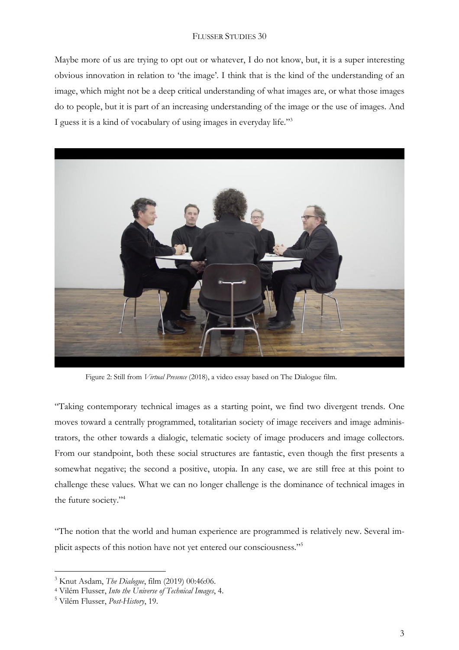Maybe more of us are trying to opt out or whatever, I do not know, but, it is a super interesting obvious innovation in relation to 'the image'. I think that is the kind of the understanding of an image, which might not be a deep critical understanding of what images are, or what those images do to people, but it is part of an increasing understanding of the image or the use of images. And I guess it is a kind of vocabulary of using images in everyday life."<sup>3</sup>



Figure 2: Still from *Virtual Presence* (2018), a video essay based on The Dialogue film.

"Taking contemporary technical images as a starting point, we find two divergent trends. One moves toward a centrally programmed, totalitarian society of image receivers and image administrators, the other towards a dialogic, telematic society of image producers and image collectors. From our standpoint, both these social structures are fantastic, even though the first presents a somewhat negative; the second a positive, utopia. In any case, we are still free at this point to challenge these values. What we can no longer challenge is the dominance of technical images in the future society."<sup>4</sup>

"The notion that the world and human experience are programmed is relatively new. Several implicit aspects of this notion have not yet entered our consciousness."<sup>5</sup>

<sup>3</sup> Knut Asdam, *The Dialogue*, film (2019) 00:46:06.

<sup>4</sup> Vilém Flusser, *Into the Universe of Technical Images*, 4.

<sup>5</sup> Vilém Flusser, *Post-History*, 19.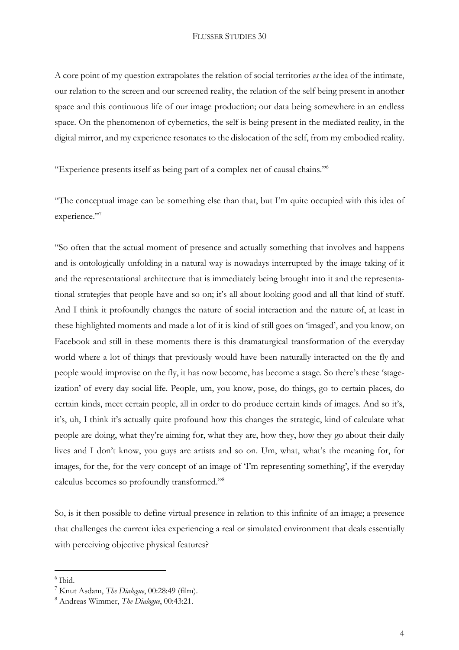A core point of my question extrapolates the relation of social territories *vs* the idea of the intimate, our relation to the screen and our screened reality, the relation of the self being present in another space and this continuous life of our image production; our data being somewhere in an endless space. On the phenomenon of cybernetics, the self is being present in the mediated reality, in the digital mirror, and my experience resonates to the dislocation of the self, from my embodied reality.

"Experience presents itself as being part of a complex net of causal chains."<sup>6</sup>

"The conceptual image can be something else than that, but I'm quite occupied with this idea of experience."7

"So often that the actual moment of presence and actually something that involves and happens and is ontologically unfolding in a natural way is nowadays interrupted by the image taking of it and the representational architecture that is immediately being brought into it and the representational strategies that people have and so on; it's all about looking good and all that kind of stuff. And I think it profoundly changes the nature of social interaction and the nature of, at least in these highlighted moments and made a lot of it is kind of still goes on 'imaged', and you know, on Facebook and still in these moments there is this dramaturgical transformation of the everyday world where a lot of things that previously would have been naturally interacted on the fly and people would improvise on the fly, it has now become, has become a stage. So there's these 'stageization' of every day social life. People, um, you know, pose, do things, go to certain places, do certain kinds, meet certain people, all in order to do produce certain kinds of images. And so it's, it's, uh, I think it's actually quite profound how this changes the strategic, kind of calculate what people are doing, what they're aiming for, what they are, how they, how they go about their daily lives and I don't know, you guys are artists and so on. Um, what, what's the meaning for, for images, for the, for the very concept of an image of 'I'm representing something', if the everyday calculus becomes so profoundly transformed."<sup>8</sup>

So, is it then possible to define virtual presence in relation to this infinite of an image; a presence that challenges the current idea experiencing a real or simulated environment that deals essentially with perceiving objective physical features?

<sup>6</sup> Ibid.

<sup>7</sup> Knut Asdam, *The Dialogue*, 00:28:49 (film).

<sup>8</sup> Andreas Wimmer, *The Dialogue*, 00:43:21.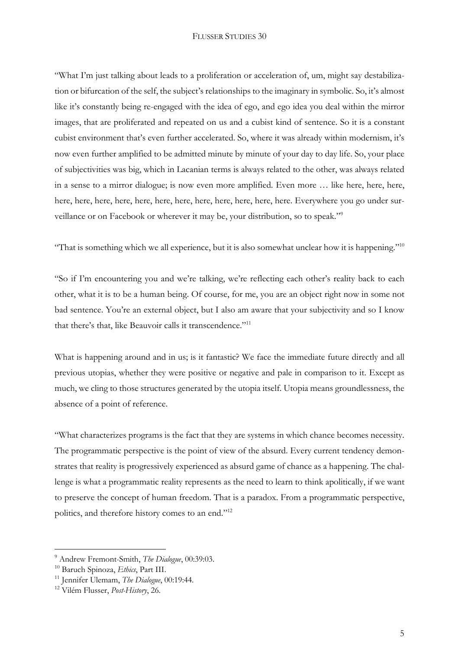"What I'm just talking about leads to a proliferation or acceleration of, um, might say destabilization or bifurcation of the self, the subject's relationships to the imaginary in symbolic. So, it's almost like it's constantly being re-engaged with the idea of ego, and ego idea you deal within the mirror images, that are proliferated and repeated on us and a cubist kind of sentence. So it is a constant cubist environment that's even further accelerated. So, where it was already within modernism, it's now even further amplified to be admitted minute by minute of your day to day life. So, your place of subjectivities was big, which in Lacanian terms is always related to the other, was always related in a sense to a mirror dialogue; is now even more amplified. Even more … like here, here, here, here, here, here, here, here, here, here, here, here, here, here, here. Everywhere you go under surveillance or on Facebook or wherever it may be, your distribution, so to speak."<sup>9</sup>

"That is something which we all experience, but it is also somewhat unclear how it is happening."<sup>10</sup>

"So if I'm encountering you and we're talking, we're reflecting each other's reality back to each other, what it is to be a human being. Of course, for me, you are an object right now in some not bad sentence. You're an external object, but I also am aware that your subjectivity and so I know that there's that, like Beauvoir calls it transcendence."<sup>11</sup>

What is happening around and in us; is it fantastic? We face the immediate future directly and all previous utopias, whether they were positive or negative and pale in comparison to it. Except as much, we cling to those structures generated by the utopia itself. Utopia means groundlessness, the absence of a point of reference.

"What characterizes programs is the fact that they are systems in which chance becomes necessity. The programmatic perspective is the point of view of the absurd. Every current tendency demonstrates that reality is progressively experienced as absurd game of chance as a happening. The challenge is what a programmatic reality represents as the need to learn to think apolitically, if we want to preserve the concept of human freedom. That is a paradox. From a programmatic perspective, politics, and therefore history comes to an end."<sup>12</sup>

<sup>9</sup> Andrew Fremont-Smith, *The Dialogue*, 00:39:03.

<sup>10</sup> Baruch Spinoza, *Ethics*, Part III.

<sup>11</sup> Jennifer Ulemam, *The Dialogue*, 00:19:44.

<sup>12</sup> Vilém Flusser, *Post-History*, 26.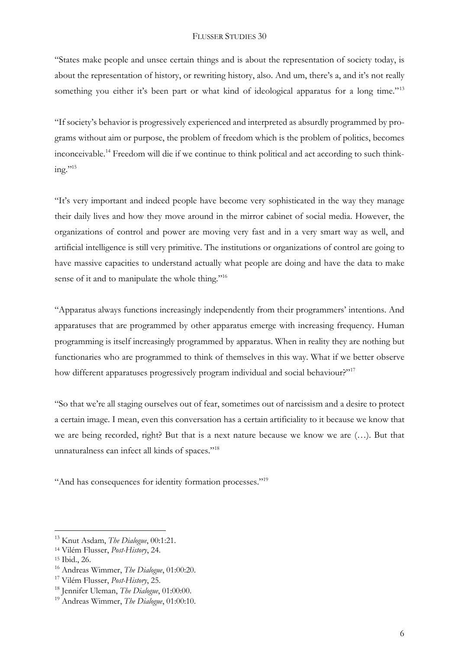"States make people and unsee certain things and is about the representation of society today, is about the representation of history, or rewriting history, also. And um, there's a, and it's not really something you either it's been part or what kind of ideological apparatus for a long time."<sup>13</sup>

"If society's behavior is progressively experienced and interpreted as absurdly programmed by programs without aim or purpose, the problem of freedom which is the problem of politics, becomes inconceivable.<sup>14</sup> Freedom will die if we continue to think political and act according to such think $inv.$ "<sup>15</sup>

"It's very important and indeed people have become very sophisticated in the way they manage their daily lives and how they move around in the mirror cabinet of social media. However, the organizations of control and power are moving very fast and in a very smart way as well, and artificial intelligence is still very primitive. The institutions or organizations of control are going to have massive capacities to understand actually what people are doing and have the data to make sense of it and to manipulate the whole thing."<sup>16</sup>

"Apparatus always functions increasingly independently from their programmers' intentions. And apparatuses that are programmed by other apparatus emerge with increasing frequency. Human programming is itself increasingly programmed by apparatus. When in reality they are nothing but functionaries who are programmed to think of themselves in this way. What if we better observe how different apparatuses progressively program individual and social behaviour."<sup>17</sup>

"So that we're all staging ourselves out of fear, sometimes out of narcissism and a desire to protect a certain image. I mean, even this conversation has a certain artificiality to it because we know that we are being recorded, right? But that is a next nature because we know we are (…). But that unnaturalness can infect all kinds of spaces."<sup>18</sup>

"And has consequences for identity formation processes."<sup>19</sup>

<sup>13</sup> Knut Asdam, *The Dialogue*, 00:1:21.

<sup>14</sup> Vilém Flusser, *Post-History*, 24.

<sup>15</sup> Ibid., 26.

<sup>16</sup> Andreas Wimmer, *The Dialogue*, 01:00:20.

<sup>17</sup> Vilém Flusser, *Post-History*, 25.

<sup>18</sup> Jennifer Uleman, *The Dialogue*, 01:00:00.

<sup>19</sup> Andreas Wimmer, *The Dialogue*, 01:00:10.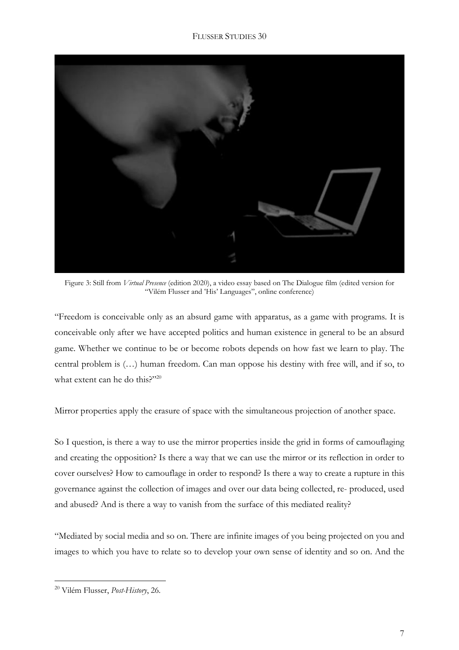

Figure 3: Still from *Virtual Presence* (edition 2020), a video essay based on The Dialogue film (edited version for "Vilém Flusser and 'His' Languages", online conference)

"Freedom is conceivable only as an absurd game with apparatus, as a game with programs. It is conceivable only after we have accepted politics and human existence in general to be an absurd game. Whether we continue to be or become robots depends on how fast we learn to play. The central problem is (…) human freedom. Can man oppose his destiny with free will, and if so, to what extent can he do this?"20

Mirror properties apply the erasure of space with the simultaneous projection of another space.

So I question, is there a way to use the mirror properties inside the grid in forms of camouflaging and creating the opposition? Is there a way that we can use the mirror or its reflection in order to cover ourselves? How to camouflage in order to respond? Is there a way to create a rupture in this governance against the collection of images and over our data being collected, re- produced, used and abused? And is there a way to vanish from the surface of this mediated reality?

"Mediated by social media and so on. There are infinite images of you being projected on you and images to which you have to relate so to develop your own sense of identity and so on. And the

<sup>20</sup> Vilém Flusser, *Post-History*, 26.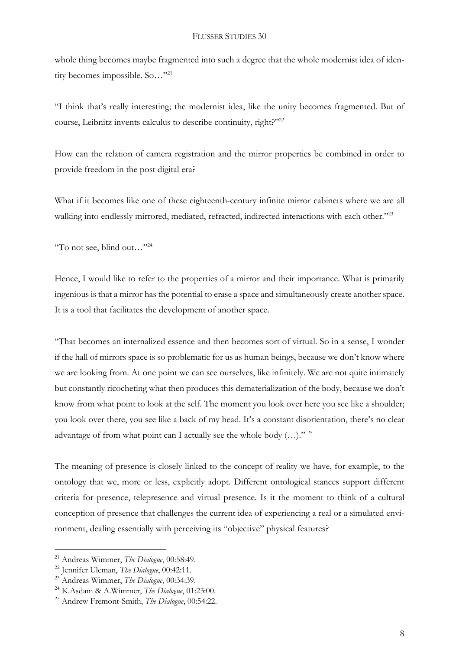whole thing becomes maybe fragmented into such a degree that the whole modernist idea of identity becomes impossible. So..."<sup>21</sup>

"I think that's really interesting; the modernist idea, like the unity becomes fragmented. But of course, Leibnitz invents calculus to describe continuity, right?"<sup>22</sup>

How can the relation of camera registration and the mirror properties be combined in order to provide freedom in the post digital era?

What if it becomes like one of these eighteenth-century infinite mirror cabinets where we are all walking into endlessly mirrored, mediated, refracted, indirected interactions with each other."<sup>23</sup>

"To not see, blind out…"<sup>24</sup>

Hence, I would like to refer to the properties of a mirror and their importance. What is primarily ingenious is that a mirror has the potential to erase a space and simultaneously create another space. It is a tool that facilitates the development of another space.

"That becomes an internalized essence and then becomes sort of virtual. So in a sense, I wonder if the hall of mirrors space is so problematic for us as human beings, because we don't know where we are looking from. At one point we can see ourselves, like infinitely. We are not quite intimately but constantly ricocheting what then produces this dematerialization of the body, because we don't know from what point to look at the self. The moment you look over here you see like a shoulder; you look over there, you see like a back of my head. It's a constant disorientation, there's no clear advantage of from what point can I actually see the whole body  $(...)$ ." 25

The meaning of presence is closely linked to the concept of reality we have, for example, to the ontology that we, more or less, explicitly adopt. Different ontological stances support different criteria for presence, telepresence and virtual presence. Is it the moment to think of a cultural conception of presence that challenges the current idea of experiencing a real or a simulated environment, dealing essentially with perceiving its "objective" physical features?

<sup>21</sup> Andreas Wimmer, *The Dialogue*, 00:58:49.

<sup>22</sup> Jennifer Uleman, *The Dialogue*, 00:42:11.

<sup>23</sup> Andreas Wimmer, *The Dialogue*, 00:34:39.

<sup>24</sup> K.Asdam & A.Wimmer, *The Dialogue*, 01:23:00.

<sup>25</sup> Andrew Fremont-Smith, *The Dialogue*, 00:54:22.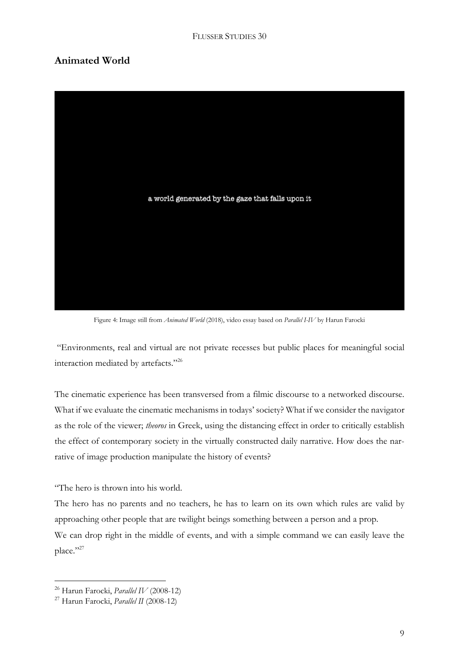# **Animated World**



Figure 4: Image still from *Animated World* (2018), video essay based on *Parallel I-IV* by Harun Farocki

"Environments, real and virtual are not private recesses but public places for meaningful social interaction mediated by artefacts."<sup>26</sup>

The cinematic experience has been transversed from a filmic discourse to a networked discourse. What if we evaluate the cinematic mechanisms in todays' society? What if we consider the navigator as the role of the viewer; *theoros* in Greek, using the distancing effect in order to critically establish the effect of contemporary society in the virtually constructed daily narrative. How does the narrative of image production manipulate the history of events?

"The hero is thrown into his world.

The hero has no parents and no teachers, he has to learn on its own which rules are valid by approaching other people that are twilight beings something between a person and a prop. We can drop right in the middle of events, and with a simple command we can easily leave the place."27

<sup>26</sup> Harun Farocki, *Parallel IV* (2008-12)

<sup>27</sup> Harun Farocki, *Parallel II* (2008-12)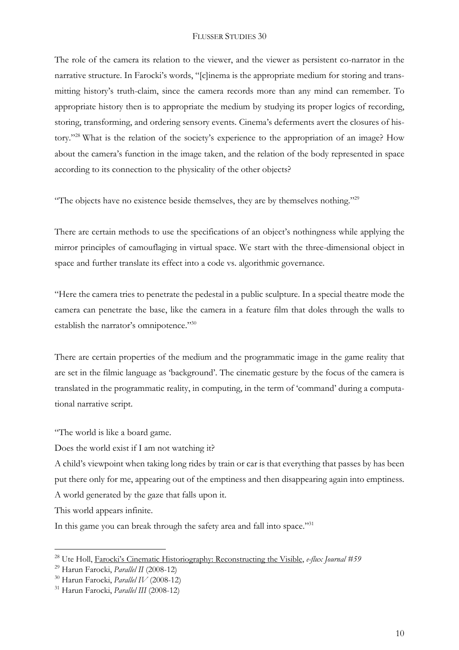The role of the camera its relation to the viewer, and the viewer as persistent co-narrator in the narrative structure. In Farocki's words, "[c]inema is the appropriate medium for storing and transmitting history's truth-claim, since the camera records more than any mind can remember. To appropriate history then is to appropriate the medium by studying its proper logics of recording, storing, transforming, and ordering sensory events. Cinema's deferments avert the closures of history."<sup>28</sup> What is the relation of the society's experience to the appropriation of an image? How about the camera's function in the image taken, and the relation of the body represented in space according to its connection to the physicality of the other objects?

"The objects have no existence beside themselves, they are by themselves nothing."<sup>29</sup>

There are certain methods to use the specifications of an object's nothingness while applying the mirror principles of camouflaging in virtual space. We start with the three-dimensional object in space and further translate its effect into a code vs. algorithmic governance.

"Here the camera tries to penetrate the pedestal in a public sculpture. In a special theatre mode the camera can penetrate the base, like the camera in a feature film that doles through the walls to establish the narrator's omnipotence."30

There are certain properties of the medium and the programmatic image in the game reality that are set in the filmic language as 'background'. The cinematic gesture by the focus of the camera is translated in the programmatic reality, in computing, in the term of 'command' during a computational narrative script.

"The world is like a board game.

Does the world exist if I am not watching it?

A child's viewpoint when taking long rides by train or car is that everything that passes by has been put there only for me, appearing out of the emptiness and then disappearing again into emptiness. A world generated by the gaze that falls upon it.

This world appears infinite.

 $\overline{a}$ 

In this game you can break through the safety area and fall into space."<sup>31</sup>

<sup>28</sup> Ute Holl, Farocki's Cinematic [Historiography:](https://www.e-flux.com/journal/59/61118/farocki-s-cinematic-historiography-reconstructing-the-visible/) Reconstructing the Visible, *e-flux Journal #59*

<sup>29</sup> Harun Farocki, *Parallel II* (2008-12)

<sup>30</sup> Harun Farocki, *Parallel IV* (2008-12)

<sup>31</sup> Harun Farocki, *Parallel III* (2008-12)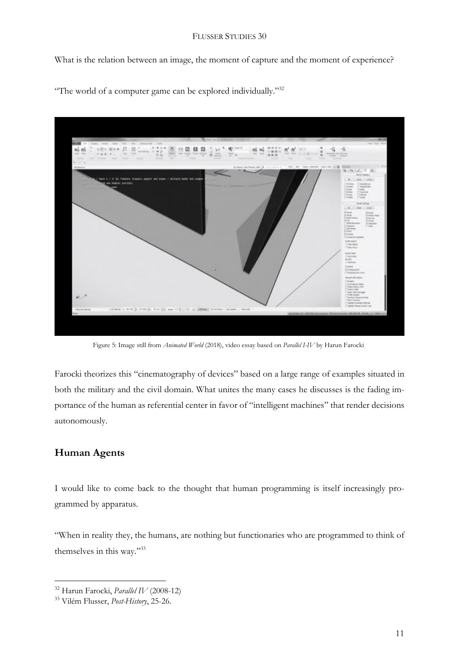What is the relation between an image, the moment of capture and the moment of experience?



"The world of a computer game can be explored individually."<sup>32</sup>

Figure 5: Image still from *Animated World* (2018), video essay based on *Parallel I-IV* by Harun Farocki

Farocki theorizes this "cinematography of devices" based on a large range of examples situated in both the military and the civil domain. What unites the many cases he discusses is the fading importance of the human as referential center in favor of "intelligent machines" that render decisions autonomously.

# **Human Agents**

 $\overline{a}$ 

I would like to come back to the thought that human programming is itself increasingly programmed by apparatus.

"When in reality they, the humans, are nothing but functionaries who are programmed to think of themselves in this way."33

<sup>32</sup> Harun Farocki, *Parallel IV* (2008-12)

<sup>33</sup> Vilém Flusser, *Post-History*, 25-26.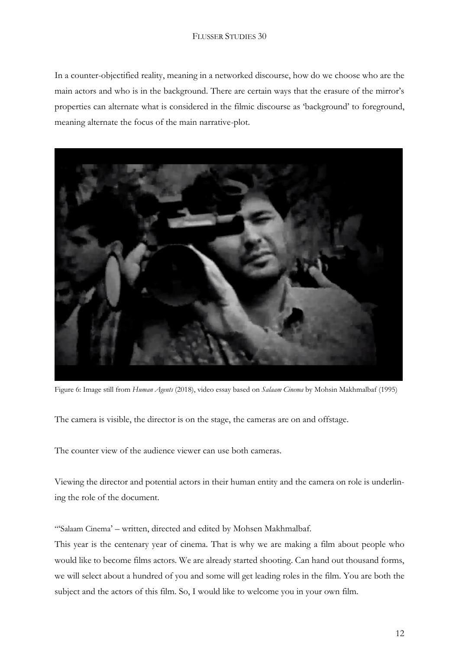In a counter-objectified reality, meaning in a networked discourse, how do we choose who are the main actors and who is in the background. There are certain ways that the erasure of the mirror's properties can alternate what is considered in the filmic discourse as 'background' to foreground, meaning alternate the focus of the main narrative-plot.



Figure 6: Image still from *Human Agents* (2018), video essay based on *Salaam Cinema* by Mohsin Makhmalbaf (1995)

The camera is visible, the director is on the stage, the cameras are on and offstage.

The counter view of the audience viewer can use both cameras.

Viewing the director and potential actors in their human entity and the camera on role is underlining the role of the document.

"'Salaam Cinema' – written, directed and edited by Mohsen Makhmalbaf.

This year is the centenary year of cinema. That is why we are making a film about people who would like to become films actors. We are already started shooting. Can hand out thousand forms, we will select about a hundred of you and some will get leading roles in the film. You are both the subject and the actors of this film. So, I would like to welcome you in your own film.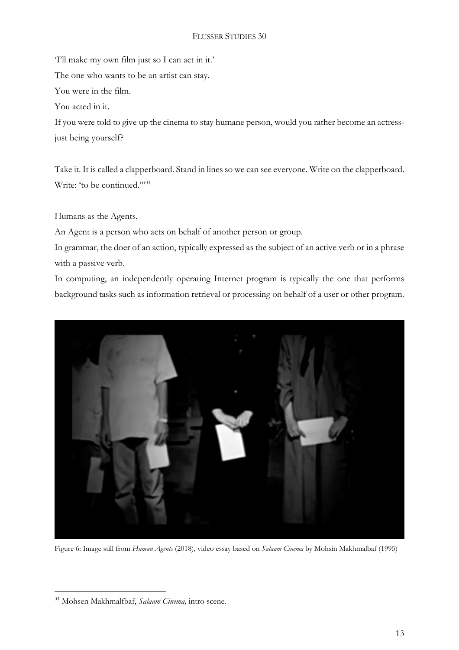'I'll make my own film just so I can act in it.' The one who wants to be an artist can stay. You were in the film. You acted in it. If you were told to give up the cinema to stay humane person, would you rather become an actress-

just being yourself?

Take it. It is called a clapperboard. Stand in lines so we can see everyone. Write on the clapperboard. Write: 'to be continued.""<sup>34</sup>

Humans as the Agents.

An Agent is a person who acts on behalf of another person or group.

In grammar, the doer of an action, typically expressed as the subject of an active verb or in a phrase with a passive verb.

In computing, an independently operating Internet program is typically the one that performs background tasks such as information retrieval or processing on behalf of a user or other program.



Figure 6: Image still from *Human Agents* (2018), video essay based on *Salaam Cinema* by Mohsin Makhmalbaf (1995)

<sup>34</sup> Mohsen Makhmalfbaf, *Salaam Cinema,* intro scene.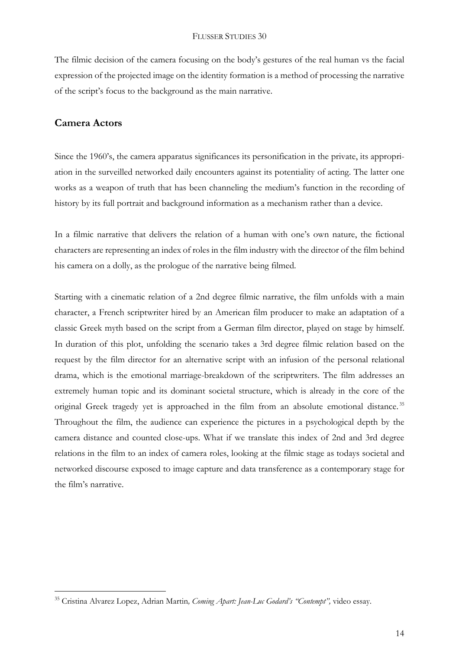The filmic decision of the camera focusing on the body's gestures of the real human vs the facial expression of the projected image on the identity formation is a method of processing the narrative of the script's focus to the background as the main narrative.

# **Camera Actors**

 $\overline{a}$ 

Since the 1960's, the camera apparatus significances its personification in the private, its appropriation in the surveilled networked daily encounters against its potentiality of acting. The latter one works as a weapon of truth that has been channeling the medium's function in the recording of history by its full portrait and background information as a mechanism rather than a device.

In a filmic narrative that delivers the relation of a human with one's own nature, the fictional characters are representing an index of roles in the film industry with the director of the film behind his camera on a dolly, as the prologue of the narrative being filmed.

Starting with a cinematic relation of a 2nd degree filmic narrative, the film unfolds with a main character, a French scriptwriter hired by an American film producer to make an adaptation of a classic Greek myth based on the script from a German film director, played on stage by himself. In duration of this plot, unfolding the scenario takes a 3rd degree filmic relation based on the request by the film director for an alternative script with an infusion of the personal relational drama, which is the emotional marriage-breakdown of the scriptwriters. The film addresses an extremely human topic and its dominant societal structure, which is already in the core of the original Greek tragedy yet is approached in the film from an absolute emotional distance.<sup>35</sup> Throughout the film, the audience can experience the pictures in a psychological depth by the camera distance and counted close-ups. What if we translate this index of 2nd and 3rd degree relations in the film to an index of camera roles, looking at the filmic stage as todays societal and networked discourse exposed to image capture and data transference as a contemporary stage for the film's narrative.

<sup>35</sup> Cristina Alvarez Lopez, Adrian Martin*, Coming Apart: Jean-Luc Godard's "Contempt",* video essay.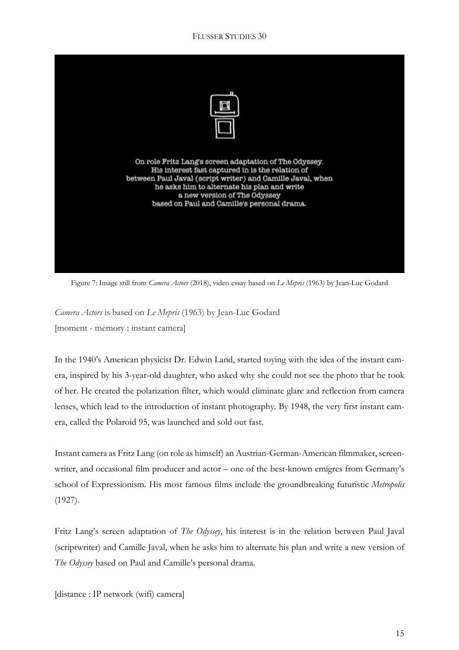

Figure 7: Image still from *Camera Actors* (2018), video essay based on *Le Mepris* (1963) by Jean-Luc Godard

*Camera Actors* is based on *Le Mepris* (1963) by Jean-Luc Godard [moment - memory : instant camera]

In the 1940's American physicist Dr. Edwin Land, started toying with the idea of the instant camera, inspired by his 3-year-old daughter, who asked why she could not see the photo that he took of her. He created the polarization filter, which would eliminate glare and reflection from camera lenses, which lead to the introduction of instant photography. By 1948, the very first instant camera, called the Polaroid 95, was launched and sold out fast.

Instant camera as Fritz Lang (on role as himself) an Austrian-German-American filmmaker, screenwriter, and occasional film producer and actor – one of the best-known emigres from Germany's school of Expressionism. His most famous films include the groundbreaking futuristic *Metropolis* (1927).

Fritz Lang's screen adaptation of *The Odyssey*, his interest is in the relation between Paul Javal (scriptwriter) and Camille Javal, when he asks him to alternate his plan and write a new version of *The Odyssey* based on Paul and Camille's personal drama.

[distance : IP network (wifi) camera]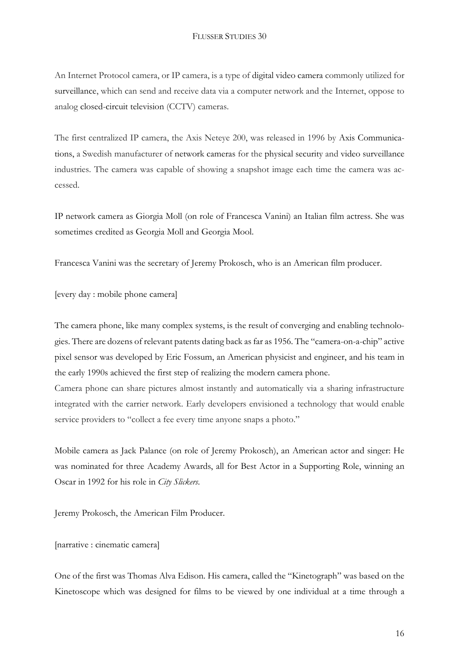An Internet Protocol camera, or IP camera, is a type of digital video camera commonly utilized for surveillance, which can send and receive data via a computer network and the Internet, oppose to analog closed-circuit television (CCTV) cameras.

The first centralized IP camera, the Axis Neteye 200, was released in 1996 by Axis Communications, a Swedish manufacturer of network cameras for the physical security and video surveillance industries. The camera was capable of showing a snapshot image each time the camera was accessed.

IP network camera as Giorgia Moll (on role of Francesca Vanini) an Italian film actress. She was sometimes credited as Georgia Moll and Georgia Mool.

Francesca Vanini was the secretary of Jeremy Prokosch, who is an American film producer.

[every day : mobile phone camera]

The camera phone, like many complex systems, is the result of converging and enabling technologies. There are dozens of relevant patents dating back as far as 1956. The "camera-on-a-chip" active pixel sensor was developed by Eric Fossum, an American physicist and engineer, and his team in the early 1990s achieved the first step of realizing the modern camera phone.

Camera phone can share pictures almost instantly and automatically via a sharing infrastructure integrated with the carrier network. Early developers envisioned a technology that would enable service providers to "collect a fee every time anyone snaps a photo."

Mobile camera as Jack Palance (on role of Jeremy Prokosch), an American actor and singer: He was nominated for three Academy Awards, all for Best Actor in a Supporting Role, winning an Oscar in 1992 for his role in *City Slickers*.

Jeremy Prokosch, the American Film Producer.

### [narrative : cinematic camera]

One of the first was Thomas Alva Edison. His camera, called the "Kinetograph" was based on the Kinetoscope which was designed for films to be viewed by one individual at a time through a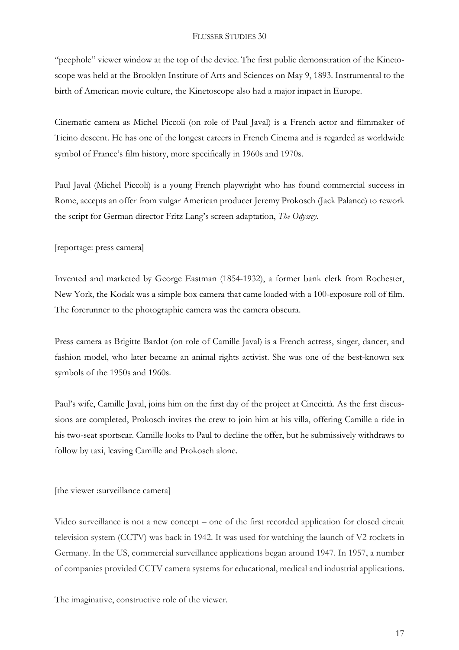"peephole" viewer window at the top of the device. The first public demonstration of the Kinetoscope was held at the Brooklyn Institute of Arts and Sciences on May 9, 1893. Instrumental to the birth of American movie culture, the Kinetoscope also had a major impact in Europe.

Cinematic camera as Michel Piccoli (on role of Paul Javal) is a French actor and filmmaker of Ticino descent. He has one of the longest careers in French Cinema and is regarded as worldwide symbol of France's film history, more specifically in 1960s and 1970s.

Paul Javal (Michel Piccoli) is a young French playwright who has found commercial success in Rome, accepts an offer from vulgar American producer Jeremy Prokosch (Jack Palance) to rework the script for German director Fritz Lang's screen adaptation, *The Odyssey*.

[reportage: press camera]

Invented and marketed by George Eastman (1854-1932), a former bank clerk from Rochester, New York, the Kodak was a simple box camera that came loaded with a 100-exposure roll of film. The forerunner to the photographic camera was the camera obscura.

Press camera as Brigitte Bardot (on role of Camille Javal) is a French actress, singer, dancer, and fashion model, who later became an animal rights activist. She was one of the best-known sex symbols of the 1950s and 1960s.

Paul's wife, Camille Javal, joins him on the first day of the project at Cinecittà. As the first discussions are completed, Prokosch invites the crew to join him at his villa, offering Camille a ride in his two-seat sportscar. Camille looks to Paul to decline the offer, but he submissively withdraws to follow by taxi, leaving Camille and Prokosch alone.

[the viewer :surveillance camera]

Video surveillance is not a new concept – one of the first recorded application for closed circuit television system (CCTV) was back in 1942. It was used for watching the launch of V2 rockets in Germany. In the US, commercial surveillance applications began around 1947. In 1957, a number of companies provided CCTV camera systems for educational, medical and industrial applications.

The imaginative, constructive role of the viewer.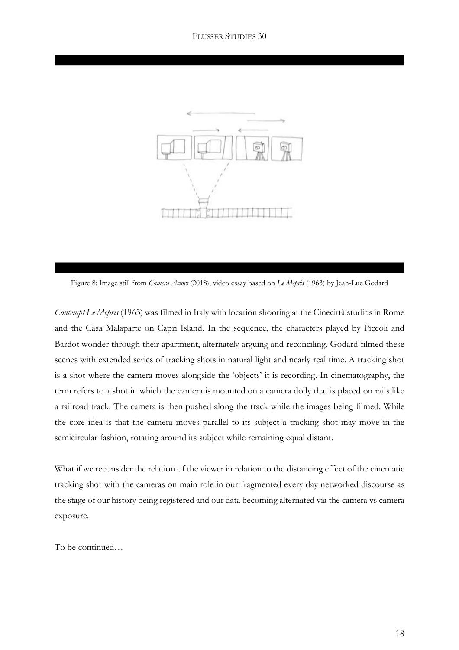

Figure 8: Image still from *Camera Actors* (2018), video essay based on *Le Mepris* (1963) by Jean-Luc Godard

*Contempt Le Mepris* (1963) was filmed in Italy with location shooting at the Cinecittà studios in Rome and the Casa Malaparte on Capri Island. In the sequence, the characters played by Piccoli and Bardot wonder through their apartment, alternately arguing and reconciling. Godard filmed these scenes with extended series of tracking shots in natural light and nearly real time. A tracking shot is a shot where the camera moves alongside the 'objects' it is recording. In cinematography, the term refers to a shot in which the camera is mounted on a camera dolly that is placed on rails like a railroad track. The camera is then pushed along the track while the images being filmed. While the core idea is that the camera moves parallel to its subject a tracking shot may move in the semicircular fashion, rotating around its subject while remaining equal distant.

What if we reconsider the relation of the viewer in relation to the distancing effect of the cinematic tracking shot with the cameras on main role in our fragmented every day networked discourse as the stage of our history being registered and our data becoming alternated via the camera vs camera exposure.

To be continued…